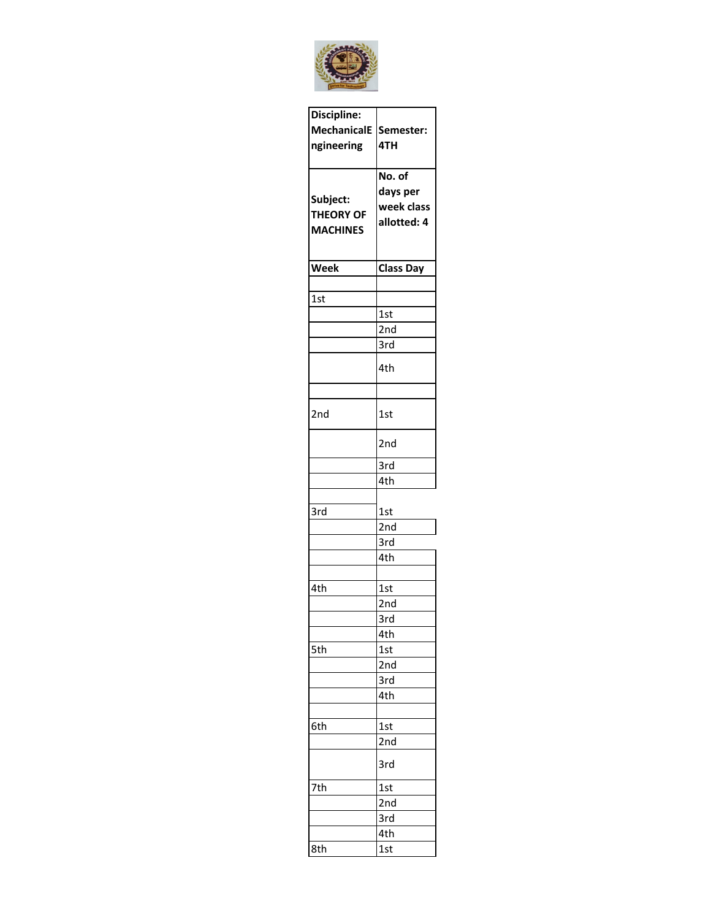

| Discipline:        |                  |  |  |
|--------------------|------------------|--|--|
| <b>MechanicalE</b> | Semester:        |  |  |
| ngineering         | 4TH              |  |  |
|                    |                  |  |  |
|                    | No. of           |  |  |
|                    | days per         |  |  |
| Subject:           | week class       |  |  |
| <b>THEORY OF</b>   | allotted: 4      |  |  |
| <b>MACHINES</b>    |                  |  |  |
|                    |                  |  |  |
| <b>Week</b>        | <b>Class Day</b> |  |  |
|                    |                  |  |  |
| 1st                |                  |  |  |
|                    | 1st              |  |  |
|                    | 2nd              |  |  |
|                    | 3rd              |  |  |
|                    |                  |  |  |
|                    | 4th              |  |  |
|                    |                  |  |  |
|                    |                  |  |  |
| 2nd                | 1st              |  |  |
|                    |                  |  |  |
|                    | 2nd              |  |  |
|                    | 3rd              |  |  |
|                    | 4th              |  |  |
|                    |                  |  |  |
| 3rd                | 1st              |  |  |
|                    | 2nd              |  |  |
|                    | 3rd              |  |  |
|                    | 4th              |  |  |
|                    |                  |  |  |
| 4th                | 1st              |  |  |
|                    | 2nd              |  |  |
|                    | 3rd              |  |  |
|                    | 4th              |  |  |
| 5th                | 1st              |  |  |
|                    | 2nd              |  |  |
|                    | 3rd              |  |  |
|                    | 4th              |  |  |
|                    |                  |  |  |
| 6th                | 1st              |  |  |
|                    | 2nd              |  |  |
|                    | 3rd              |  |  |
| 7th                | 1st              |  |  |
|                    | 2nd              |  |  |
|                    | 3rd              |  |  |
|                    | 4th              |  |  |
| 8th                | 1st              |  |  |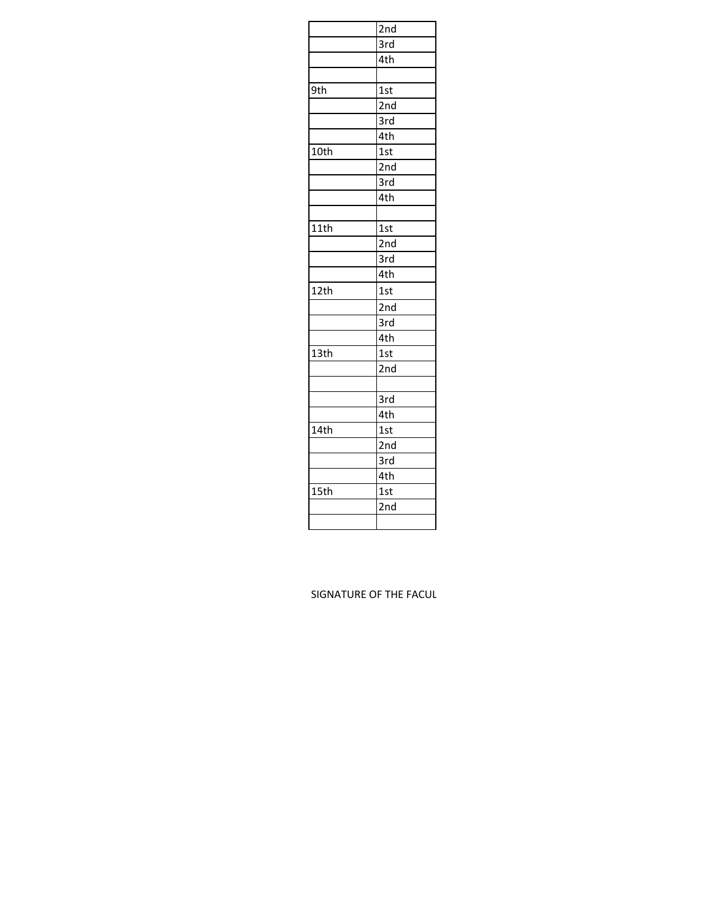|      | 2nd               |  |
|------|-------------------|--|
|      | $\overline{3}$ rd |  |
|      | 4th               |  |
|      |                   |  |
| 9th  | 1st               |  |
|      | 2nd               |  |
|      | 3rd               |  |
|      | 4th               |  |
| 10th | 1st               |  |
|      | 2nd               |  |
|      | 3rd               |  |
|      | 4th               |  |
|      |                   |  |
| 11th | 1st               |  |
|      | 2nd               |  |
|      | 3rd               |  |
|      | 4th               |  |
| 12th | 1st               |  |
|      | 2nd               |  |
|      | 3rd               |  |
|      | 4th               |  |
| 13th | 1st               |  |
|      | 2nd               |  |
|      |                   |  |
|      | 3rd               |  |
|      | 4th               |  |
| 14th | 1st               |  |
|      | 2nd               |  |
|      | 3rd               |  |
|      | 4th               |  |
| 15th | 1st               |  |
|      | 2nd               |  |
|      |                   |  |

## SIGNATURE OF THE FACUL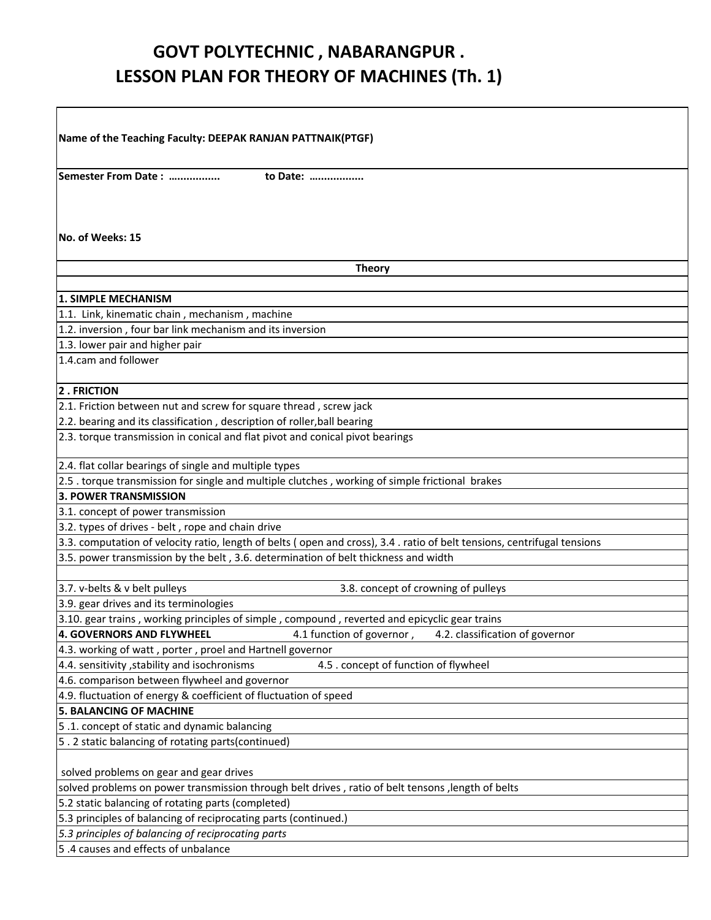## **GOVT POLYTECHNIC , NABARANGPUR . LESSON PLAN FOR THEORY OF MACHINES (Th. 1)**

| Name of the Teaching Faculty: DEEPAK RANJAN PATTNAIK(PTGF)                                                              |
|-------------------------------------------------------------------------------------------------------------------------|
|                                                                                                                         |
| Semester From Date:<br>to Date:                                                                                         |
|                                                                                                                         |
|                                                                                                                         |
| No. of Weeks: 15                                                                                                        |
| <b>Theory</b>                                                                                                           |
|                                                                                                                         |
| <b>1. SIMPLE MECHANISM</b>                                                                                              |
| 1.1. Link, kinematic chain, mechanism, machine                                                                          |
| 1.2. inversion, four bar link mechanism and its inversion                                                               |
| 1.3. lower pair and higher pair                                                                                         |
| 1.4.cam and follower                                                                                                    |
| 2. FRICTION                                                                                                             |
| 2.1. Friction between nut and screw for square thread, screw jack                                                       |
| 2.2. bearing and its classification, description of roller, ball bearing                                                |
| 2.3. torque transmission in conical and flat pivot and conical pivot bearings                                           |
| 2.4. flat collar bearings of single and multiple types                                                                  |
| 2.5 . torque transmission for single and multiple clutches, working of simple frictional brakes                         |
| 3. POWER TRANSMISSION                                                                                                   |
| 3.1. concept of power transmission                                                                                      |
| 3.2. types of drives - belt, rope and chain drive                                                                       |
| 3.3. computation of velocity ratio, length of belts (open and cross), 3.4. ratio of belt tensions, centrifugal tensions |
| 3.5. power transmission by the belt, 3.6. determination of belt thickness and width                                     |
|                                                                                                                         |
| 3.7. v-belts & v belt pulleys<br>3.8. concept of crowning of pulleys                                                    |
| 3.9. gear drives and its terminologies                                                                                  |
| 3.10. gear trains, working principles of simple, compound, reverted and epicyclic gear trains                           |
| <b>4. GOVERNORS AND FLYWHEEL</b><br>4.1 function of governor,<br>4.2. classification of governor                        |
| 4.3. working of watt, porter, proel and Hartnell governor                                                               |
| 4.4. sensitivity , stability and isochronisms<br>4.5 . concept of function of flywheel                                  |
| 4.6. comparison between flywheel and governor<br>4.9. fluctuation of energy & coefficient of fluctuation of speed       |
| <b>5. BALANCING OF MACHINE</b>                                                                                          |
| 5.1. concept of static and dynamic balancing                                                                            |
| 5.2 static balancing of rotating parts(continued)                                                                       |
|                                                                                                                         |
| solved problems on gear and gear drives                                                                                 |
| solved problems on power transmission through belt drives, ratio of belt tensons, length of belts                       |
| 5.2 static balancing of rotating parts (completed)                                                                      |
| 5.3 principles of balancing of reciprocating parts (continued.)                                                         |
| 5.3 principles of balancing of reciprocating parts                                                                      |
| 5.4 causes and effects of unbalance                                                                                     |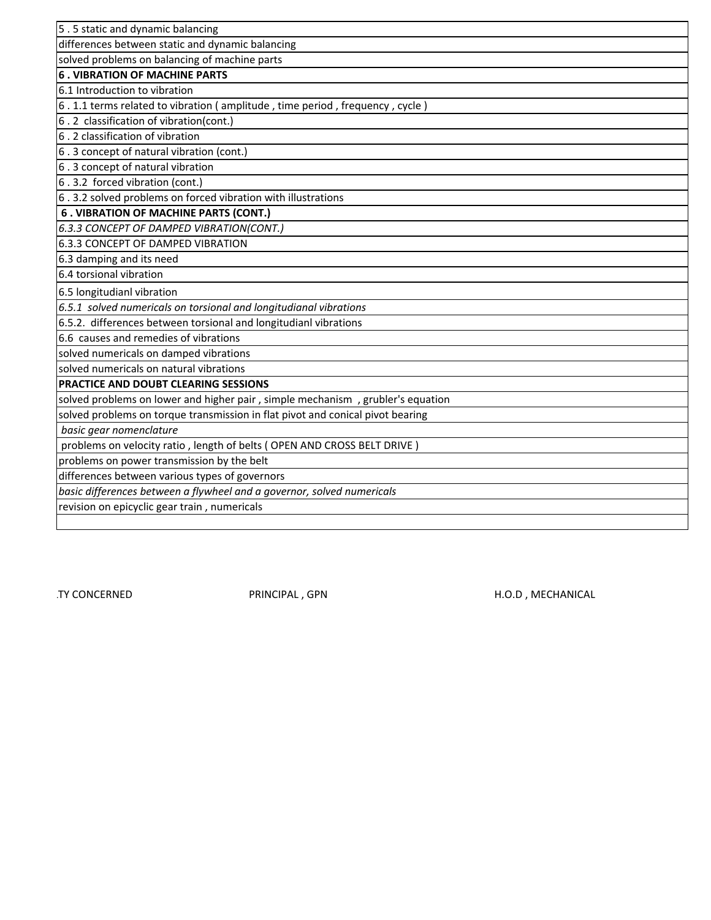| 5.5 static and dynamic balancing                                               |
|--------------------------------------------------------------------------------|
| differences between static and dynamic balancing                               |
| solved problems on balancing of machine parts                                  |
| <b>6. VIBRATION OF MACHINE PARTS</b>                                           |
| 6.1 Introduction to vibration                                                  |
| 6.1.1 terms related to vibration (amplitude, time period, frequency, cycle)    |
| 6.2 classification of vibration(cont.)                                         |
| 6.2 classification of vibration                                                |
| 6.3 concept of natural vibration (cont.)                                       |
| 6.3 concept of natural vibration                                               |
| 6.3.2 forced vibration (cont.)                                                 |
| 6.3.2 solved problems on forced vibration with illustrations                   |
| <b>6. VIBRATION OF MACHINE PARTS (CONT.)</b>                                   |
| 6.3.3 CONCEPT OF DAMPED VIBRATION(CONT.)                                       |
| 6.3.3 CONCEPT OF DAMPED VIBRATION                                              |
| 6.3 damping and its need                                                       |
| 6.4 torsional vibration                                                        |
| 6.5 longitudianl vibration                                                     |
| 6.5.1 solved numericals on torsional and longitudianal vibrations              |
| 6.5.2. differences between torsional and longitudianl vibrations               |
| 6.6 causes and remedies of vibrations                                          |
| solved numericals on damped vibrations                                         |
| solved numericals on natural vibrations                                        |
| PRACTICE AND DOUBT CLEARING SESSIONS                                           |
| solved problems on lower and higher pair, simple mechanism, grubler's equation |
| solved problems on torque transmission in flat pivot and conical pivot bearing |
| basic gear nomenclature                                                        |
| problems on velocity ratio, length of belts (OPEN AND CROSS BELT DRIVE)        |
| problems on power transmission by the belt                                     |
| differences between various types of governors                                 |
| basic differences between a flywheel and a governor, solved numericals         |
| revision on epicyclic gear train, numericals                                   |
|                                                                                |

TY CONCERNED **EXECUTE OF THE FACULT PRINCIPAL** , GPN **H.O.D** , MECHANICAL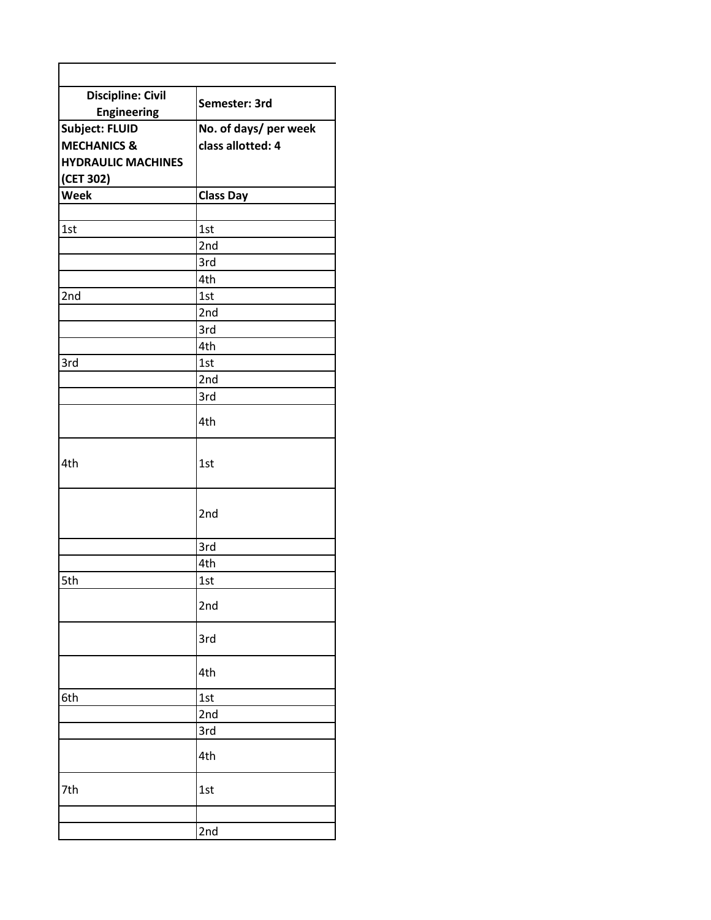| <b>Discipline: Civil</b>  |                       |  |
|---------------------------|-----------------------|--|
| <b>Engineering</b>        | Semester: 3rd         |  |
| <b>Subject: FLUID</b>     | No. of days/ per week |  |
| <b>MECHANICS &amp;</b>    | class allotted: 4     |  |
| <b>HYDRAULIC MACHINES</b> |                       |  |
| (CET 302)                 |                       |  |
| Week                      | Class Day             |  |
|                           |                       |  |
| 1st                       | 1st                   |  |
|                           | 2nd                   |  |
|                           | 3rd                   |  |
|                           |                       |  |
|                           | 4th                   |  |
| 2nd                       | 1st                   |  |
|                           | 2nd                   |  |
|                           | 3rd                   |  |
|                           | 4th                   |  |
| 3rd                       | 1st                   |  |
|                           | 2nd                   |  |
|                           | 3rd                   |  |
|                           | 4th                   |  |
| 4th                       | 1st                   |  |
|                           | 2nd                   |  |
|                           | 3rd                   |  |
|                           | 4th                   |  |
| 5th                       | 1st                   |  |
|                           | 2nd                   |  |
|                           | 3rd                   |  |
|                           | 4th                   |  |
| 6th                       | 1st                   |  |
|                           | 2nd                   |  |
|                           | 3rd                   |  |
|                           | 4th                   |  |
| 7th                       | 1st                   |  |
|                           | 2nd                   |  |

Г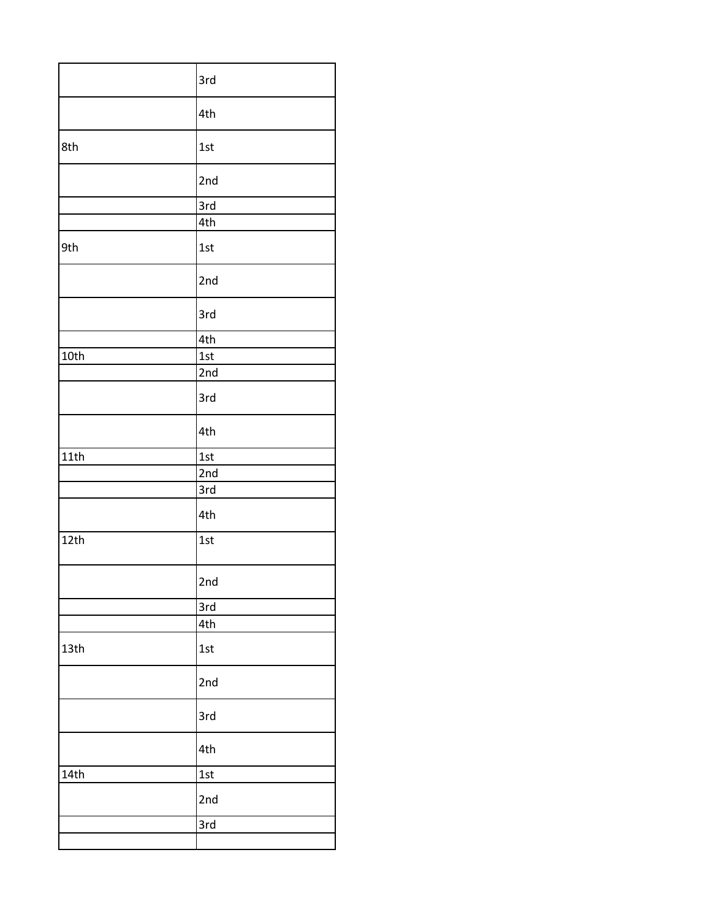|      | 3rd |
|------|-----|
|      | 4th |
| 8th  | 1st |
|      | 2nd |
|      | 3rd |
|      | 4th |
| 9th  | 1st |
|      | 2nd |
|      | 3rd |
|      | 4th |
| 10th | 1st |
|      | 2nd |
|      | 3rd |
|      | 4th |
| 11th | 1st |
|      | 2nd |
|      | 3rd |
|      | 4th |
| 12th | 1st |
|      | 2nd |
|      | 3rd |
|      | 4th |
| 13th | 1st |
|      | 2nd |
|      | 3rd |
|      | 4th |
| 14th | 1st |
|      | 2nd |
|      | 3rd |
|      |     |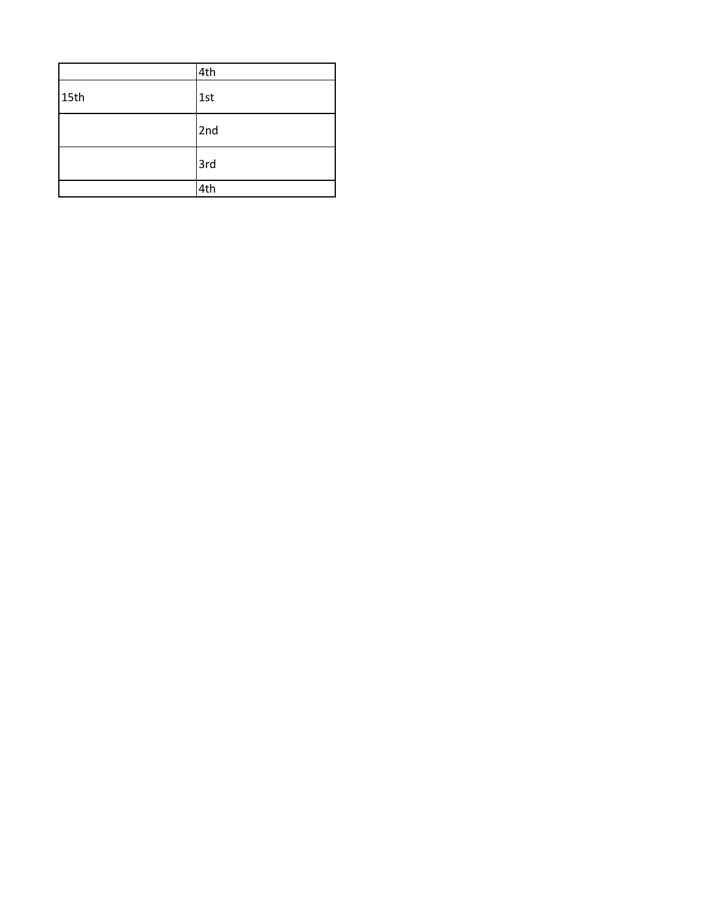|      | 4th |
|------|-----|
| 15th | 1st |
|      | 2nd |
|      | 3rd |
|      | 4th |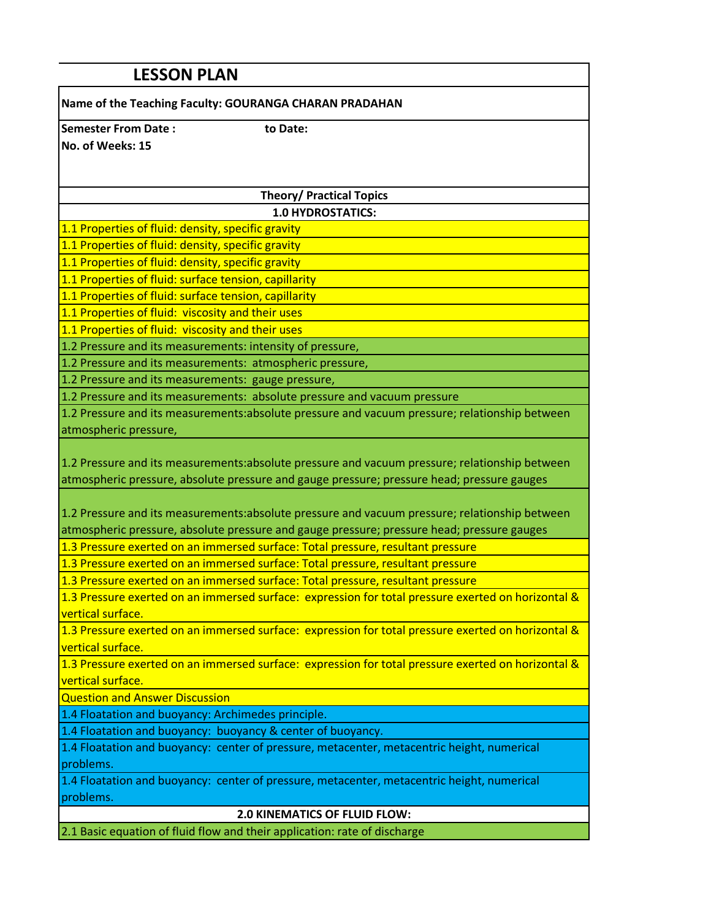| <b>LESSON PLAN</b>                                                                                                      |  |  |
|-------------------------------------------------------------------------------------------------------------------------|--|--|
| Name of the Teaching Faculty: GOURANGA CHARAN PRADAHAN                                                                  |  |  |
| <b>Semester From Date:</b><br>to Date:                                                                                  |  |  |
| No. of Weeks: 15                                                                                                        |  |  |
|                                                                                                                         |  |  |
|                                                                                                                         |  |  |
| <b>Theory/ Practical Topics</b>                                                                                         |  |  |
| <b>1.0 HYDROSTATICS:</b><br>1.1 Properties of fluid: density, specific gravity                                          |  |  |
| 1.1 Properties of fluid: density, specific gravity                                                                      |  |  |
| 1.1 Properties of fluid: density, specific gravity                                                                      |  |  |
| 1.1 Properties of fluid: surface tension, capillarity                                                                   |  |  |
| 1.1 Properties of fluid: surface tension, capillarity                                                                   |  |  |
| 1.1 Properties of fluid: viscosity and their uses                                                                       |  |  |
| 1.1 Properties of fluid: viscosity and their uses                                                                       |  |  |
| 1.2 Pressure and its measurements: intensity of pressure,                                                               |  |  |
| 1.2 Pressure and its measurements: atmospheric pressure,                                                                |  |  |
| 1.2 Pressure and its measurements: gauge pressure,                                                                      |  |  |
| 1.2 Pressure and its measurements: absolute pressure and vacuum pressure                                                |  |  |
| 1.2 Pressure and its measurements:absolute pressure and vacuum pressure; relationship between                           |  |  |
| atmospheric pressure,                                                                                                   |  |  |
| 1.2 Pressure and its measurements:absolute pressure and vacuum pressure; relationship between                           |  |  |
| atmospheric pressure, absolute pressure and gauge pressure; pressure head; pressure gauges                              |  |  |
|                                                                                                                         |  |  |
| 1.2 Pressure and its measurements:absolute pressure and vacuum pressure; relationship between                           |  |  |
| atmospheric pressure, absolute pressure and gauge pressure; pressure head; pressure gauges                              |  |  |
| 1.3 Pressure exerted on an immersed surface: Total pressure, resultant pressure                                         |  |  |
| 1.3 Pressure exerted on an immersed surface: Total pressure, resultant pressure                                         |  |  |
| 1.3 Pressure exerted on an immersed surface: Total pressure, resultant pressure                                         |  |  |
| 1.3 Pressure exerted on an immersed surface: expression for total pressure exerted on horizontal &                      |  |  |
| vertical surface.                                                                                                       |  |  |
| 1.3 Pressure exerted on an immersed surface: expression for total pressure exerted on horizontal &                      |  |  |
| vertical surface.<br>1.3 Pressure exerted on an immersed surface: expression for total pressure exerted on horizontal & |  |  |
| vertical surface.                                                                                                       |  |  |
| <b>Question and Answer Discussion</b>                                                                                   |  |  |
| 1.4 Floatation and buoyancy: Archimedes principle.                                                                      |  |  |
| 1.4 Floatation and buoyancy: buoyancy & center of buoyancy.                                                             |  |  |
| 1.4 Floatation and buoyancy: center of pressure, metacenter, metacentric height, numerical                              |  |  |
| problems.                                                                                                               |  |  |
| 1.4 Floatation and buoyancy: center of pressure, metacenter, metacentric height, numerical                              |  |  |
| problems.                                                                                                               |  |  |
| 2.0 KINEMATICS OF FLUID FLOW:                                                                                           |  |  |
| 2.1 Basic equation of fluid flow and their application: rate of discharge                                               |  |  |
|                                                                                                                         |  |  |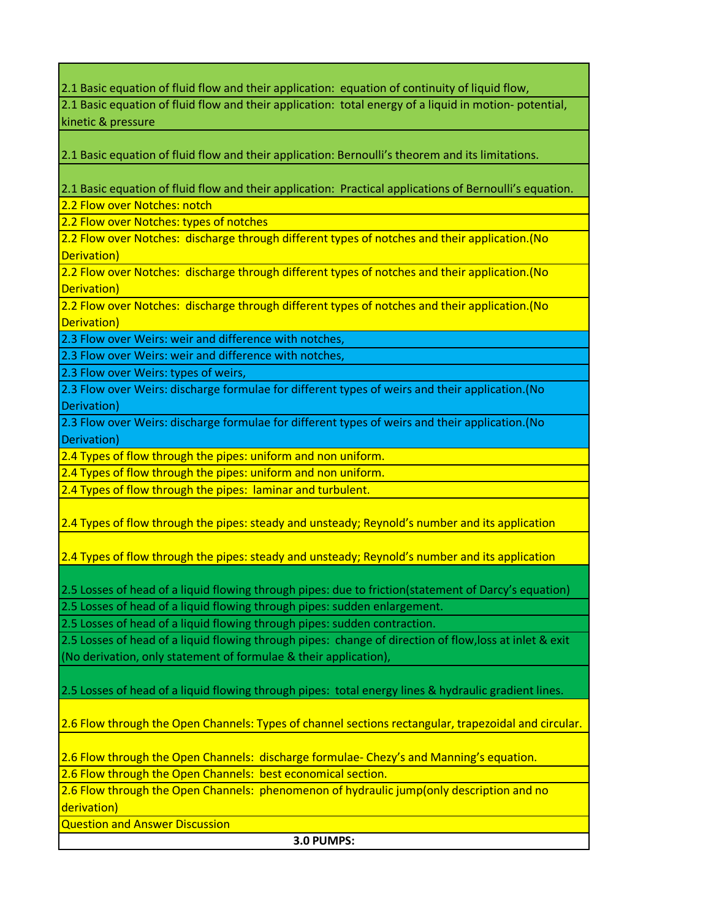2.1 Basic equation of fluid flow and their application: equation of continuity of liquid flow,

2.1 Basic equation of fluid flow and their application: total energy of a liquid in motion- potential, kinetic & pressure

2.1 Basic equation of fluid flow and their application: Bernoulli's theorem and its limitations.

2.1 Basic equation of fluid flow and their application: Practical applications of Bernoulli's equation.

2.2 Flow over Notches: notch

2.2 Flow over Notches: types of notches

2.2 Flow over Notches: discharge through different types of notches and their application.(No Derivation)

2.2 Flow over Notches: discharge through different types of notches and their application.(No Derivation)

2.2 Flow over Notches: discharge through different types of notches and their application. (No Derivation)

2.3 Flow over Weirs: weir and difference with notches,

2.3 Flow over Weirs: weir and difference with notches,

2.3 Flow over Weirs: types of weirs,

2.3 Flow over Weirs: discharge formulae for different types of weirs and their application.(No Derivation)

2.3 Flow over Weirs: discharge formulae for different types of weirs and their application.(No Derivation)

2.4 Types of flow through the pipes: uniform and non uniform.

2.4 Types of flow through the pipes: uniform and non uniform.

2.4 Types of flow through the pipes: laminar and turbulent.

2.4 Types of flow through the pipes: steady and unsteady; Reynold's number and its application

2.4 Types of flow through the pipes: steady and unsteady; Reynold's number and its application

2.5 Losses of head of a liquid flowing through pipes: due to friction(statement of Darcy's equation) 2.5 Losses of head of a liquid flowing through pipes: sudden enlargement.

2.5 Losses of head of a liquid flowing through pipes: sudden contraction.

2.5 Losses of head of a liquid flowing through pipes: change of direction of flow,loss at inlet & exit (No derivation, only statement of formulae & their application),

2.5 Losses of head of a liquid flowing through pipes: total energy lines & hydraulic gradient lines.

2.6 Flow through the Open Channels: Types of channel sections rectangular, trapezoidal and circular.

2.6 Flow through the Open Channels: discharge formulae- Chezy's and Manning's equation. 2.6 Flow through the Open Channels: best economical section.

2.6 Flow through the Open Channels: phenomenon of hydraulic jump(only description and no derivation)

Question and Answer Discussion

**3.0 PUMPS:**